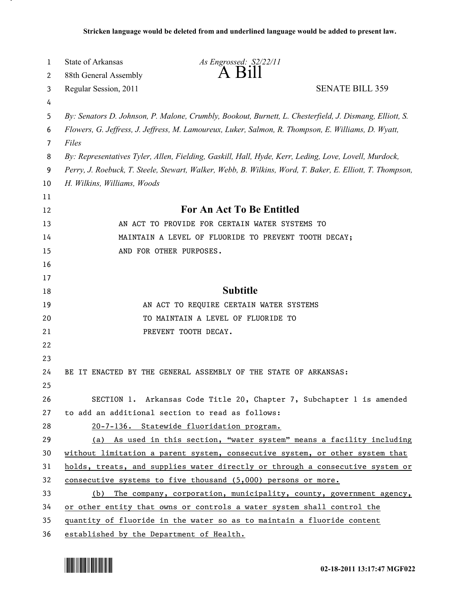| 1              | State of Arkansas                                                                                         | As Engrossed: S2/22/11<br>$A$ $B$ <sub>1</sub> $\parallel$                                              |  |
|----------------|-----------------------------------------------------------------------------------------------------------|---------------------------------------------------------------------------------------------------------|--|
| 2              | 88th General Assembly                                                                                     |                                                                                                         |  |
| 3              | Regular Session, 2011                                                                                     | <b>SENATE BILL 359</b>                                                                                  |  |
| 4              |                                                                                                           |                                                                                                         |  |
| 5              |                                                                                                           | By: Senators D. Johnson, P. Malone, Crumbly, Bookout, Burnett, L. Chesterfield, J. Dismang, Elliott, S. |  |
| 6              |                                                                                                           | Flowers, G. Jeffress, J. Jeffress, M. Lamoureux, Luker, Salmon, R. Thompson, E. Williams, D. Wyatt,     |  |
| $\overline{7}$ | Files                                                                                                     |                                                                                                         |  |
| 8              |                                                                                                           | By: Representatives Tyler, Allen, Fielding, Gaskill, Hall, Hyde, Kerr, Leding, Love, Lovell, Murdock,   |  |
| 9              | Perry, J. Roebuck, T. Steele, Stewart, Walker, Webb, B. Wilkins, Word, T. Baker, E. Elliott, T. Thompson, |                                                                                                         |  |
| 10             | H. Wilkins, Williams, Woods                                                                               |                                                                                                         |  |
| 11             |                                                                                                           |                                                                                                         |  |
| 12             |                                                                                                           | <b>For An Act To Be Entitled</b>                                                                        |  |
| 13             |                                                                                                           | AN ACT TO PROVIDE FOR CERTAIN WATER SYSTEMS TO                                                          |  |
| 14             |                                                                                                           | MAINTAIN A LEVEL OF FLUORIDE TO PREVENT TOOTH DECAY;                                                    |  |
| 15             |                                                                                                           | AND FOR OTHER PURPOSES.                                                                                 |  |
| 16             |                                                                                                           |                                                                                                         |  |
| 17             |                                                                                                           |                                                                                                         |  |
| 18             |                                                                                                           | <b>Subtitle</b>                                                                                         |  |
| 19             |                                                                                                           | AN ACT TO REQUIRE CERTAIN WATER SYSTEMS                                                                 |  |
| 20             |                                                                                                           | TO MAINTAIN A LEVEL OF FLUORIDE TO                                                                      |  |
| 21             |                                                                                                           | PREVENT TOOTH DECAY.                                                                                    |  |
| 22             |                                                                                                           |                                                                                                         |  |
| 23             |                                                                                                           |                                                                                                         |  |
| 24             |                                                                                                           | BE IT ENACTED BY THE GENERAL ASSEMBLY OF THE STATE OF ARKANSAS:                                         |  |
| 25             |                                                                                                           |                                                                                                         |  |
| 26             |                                                                                                           | SECTION 1. Arkansas Code Title 20, Chapter 7, Subchapter 1 is amended                                   |  |
| 27             |                                                                                                           | to add an additional section to read as follows:                                                        |  |
| 28             |                                                                                                           | 20-7-136. Statewide fluoridation program.                                                               |  |
| 29             |                                                                                                           | (a) As used in this section, "water system" means a facility including                                  |  |
| 30             |                                                                                                           | without limitation a parent system, consecutive system, or other system that                            |  |
| 31             |                                                                                                           | holds, treats, and supplies water directly or through a consecutive system or                           |  |
| 32             |                                                                                                           | consecutive systems to five thousand (5,000) persons or more.                                           |  |
| 33             |                                                                                                           | (b) The company, corporation, municipality, county, government agency,                                  |  |
| 34             |                                                                                                           | or other entity that owns or controls a water system shall control the                                  |  |
| 35             |                                                                                                           | quantity of fluoride in the water so as to maintain a fluoride content                                  |  |
| 36             | established by the Department of Health.                                                                  |                                                                                                         |  |



.